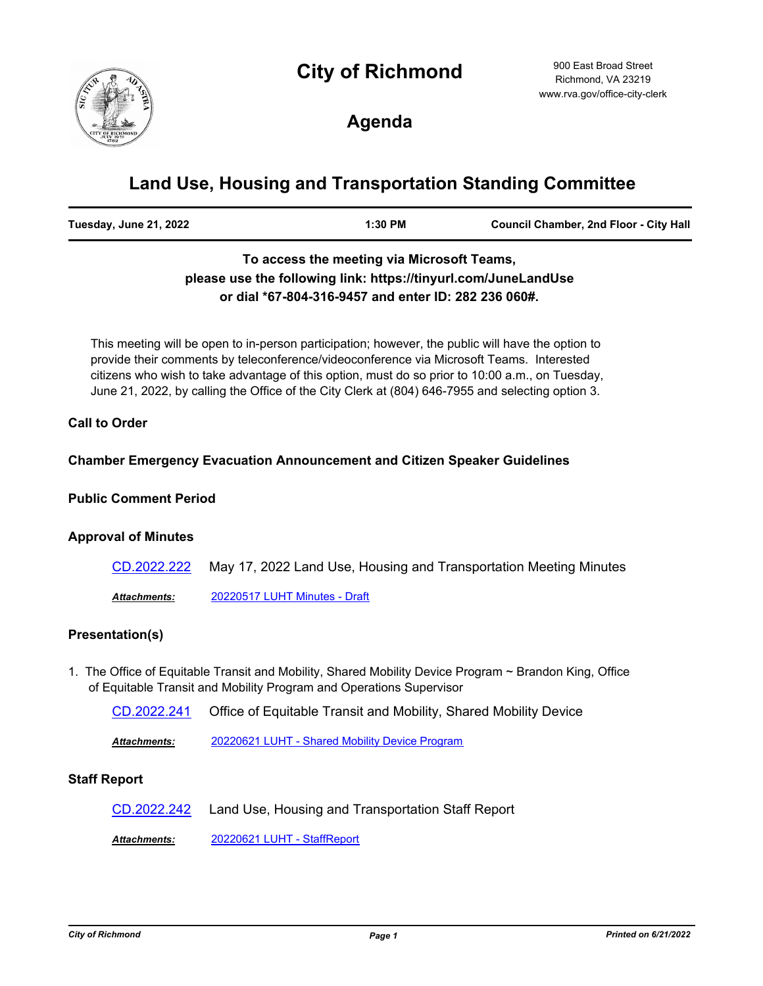# **City of Richmond**



900 East Broad Street Richmond, VA 23219 www.rva.gov/office-city-clerk

**Agenda**

# **Land Use, Housing and Transportation Standing Committee**

| <b>Council Chamber, 2nd Floor - City Hall</b><br>Tuesday, June 21, 2022<br>1:30 PM |  |
|------------------------------------------------------------------------------------|--|
|------------------------------------------------------------------------------------|--|

## **To access the meeting via Microsoft Teams, please use the following link: https://tinyurl.com/JuneLandUse or dial \*67-804-316-9457 and enter ID: 282 236 060#.**

This meeting will be open to in-person participation; however, the public will have the option to provide their comments by teleconference/videoconference via Microsoft Teams. Interested citizens who wish to take advantage of this option, must do so prior to 10:00 a.m., on Tuesday, June 21, 2022, by calling the Office of the City Clerk at (804) 646-7955 and selecting option 3.

#### **Call to Order**

#### **Chamber Emergency Evacuation Announcement and Citizen Speaker Guidelines**

#### **Public Comment Period**

#### **Approval of Minutes**

| CD.2022.222 May 17, 2022 Land Use, Housing and Transportation Meeting Minutes |
|-------------------------------------------------------------------------------|
|                                                                               |

*Attachments:* [20220517 LUHT Minutes - Draft](http://richmondva.legistar.com/gateway.aspx?M=F&ID=89e68442-477f-42f0-b92a-cf4fa0127c92.pdf)

### **Presentation(s)**

- 1. The Office of Equitable Transit and Mobility, Shared Mobility Device Program ~ Brandon King, Office of Equitable Transit and Mobility Program and Operations Supervisor
	- [CD.2022.241](http://richmondva.legistar.com/gateway.aspx?m=l&id=/matter.aspx?key=32348) Office of Equitable Transit and Mobility, Shared Mobility Device

*Attachments:* [20220621 LUHT - Shared Mobility Device Program](http://richmondva.legistar.com/gateway.aspx?M=F&ID=b721e808-7a8e-4488-a9e9-2b583da02faa.pdf)

#### **Staff Report**

[CD.2022.242](http://richmondva.legistar.com/gateway.aspx?m=l&id=/matter.aspx?key=32349) Land Use, Housing and Transportation Staff Report

*Attachments:* [20220621 LUHT - StaffReport](http://richmondva.legistar.com/gateway.aspx?M=F&ID=433cbaef-ce15-4fe2-b379-80d579b04535.pdf)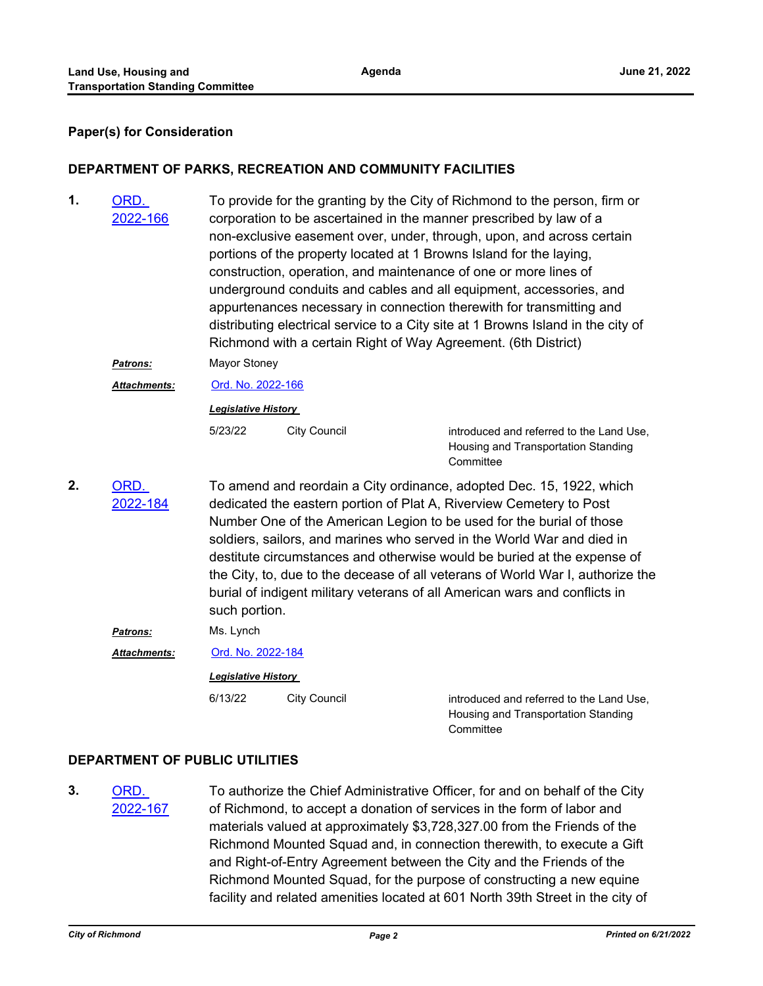#### **Paper(s) for Consideration**

#### **DEPARTMENT OF PARKS, RECREATION AND COMMUNITY FACILITIES**

To provide for the granting by the City of Richmond to the person, firm or corporation to be ascertained in the manner prescribed by law of a non-exclusive easement over, under, through, upon, and across certain portions of the property located at 1 Browns Island for the laying, construction, operation, and maintenance of one or more lines of underground conduits and cables and all equipment, accessories, and appurtenances necessary in connection therewith for transmitting and distributing electrical service to a City site at 1 Browns Island in the city of Richmond with a certain Right of Way Agreement. (6th District) ORD. [2022-166](http://richmondva.legistar.com/gateway.aspx?m=l&id=/matter.aspx?key=32192) **1.**

*Patrons:* Mayor Stoney

*Attachments:* [Ord. No. 2022-166](http://richmondva.legistar.com/gateway.aspx?M=F&ID=d1797e7a-3be9-4c07-9756-e1fd2a01160c.pdf)

*Legislative History* 

5/23/22 City Council Controll controduced and referred to the Land Use, Housing and Transportation Standing **Committee** 

ORD. [2022-184](http://richmondva.legistar.com/gateway.aspx?m=l&id=/matter.aspx?key=32324) **2.**

To amend and reordain a City ordinance, adopted Dec. 15, 1922, which dedicated the eastern portion of Plat A, Riverview Cemetery to Post Number One of the American Legion to be used for the burial of those soldiers, sailors, and marines who served in the World War and died in destitute circumstances and otherwise would be buried at the expense of the City, to, due to the decease of all veterans of World War I, authorize the burial of indigent military veterans of all American wars and conflicts in such portion.

*Patrons:* Ms. Lynch

*Attachments:* [Ord. No. 2022-184](http://richmondva.legistar.com/gateway.aspx?M=F&ID=88985817-62f7-4f99-a0f0-648c615c8211.pdf)

*Legislative History* 

6/13/22 City Council introduced and referred to the Land Use, Housing and Transportation Standing **Committee** 

#### **DEPARTMENT OF PUBLIC UTILITIES**

ORD. [2022-167](http://richmondva.legistar.com/gateway.aspx?m=l&id=/matter.aspx?key=32195) **3.**

To authorize the Chief Administrative Officer, for and on behalf of the City of Richmond, to accept a donation of services in the form of labor and materials valued at approximately \$3,728,327.00 from the Friends of the Richmond Mounted Squad and, in connection therewith, to execute a Gift and Right-of-Entry Agreement between the City and the Friends of the Richmond Mounted Squad, for the purpose of constructing a new equine facility and related amenities located at 601 North 39th Street in the city of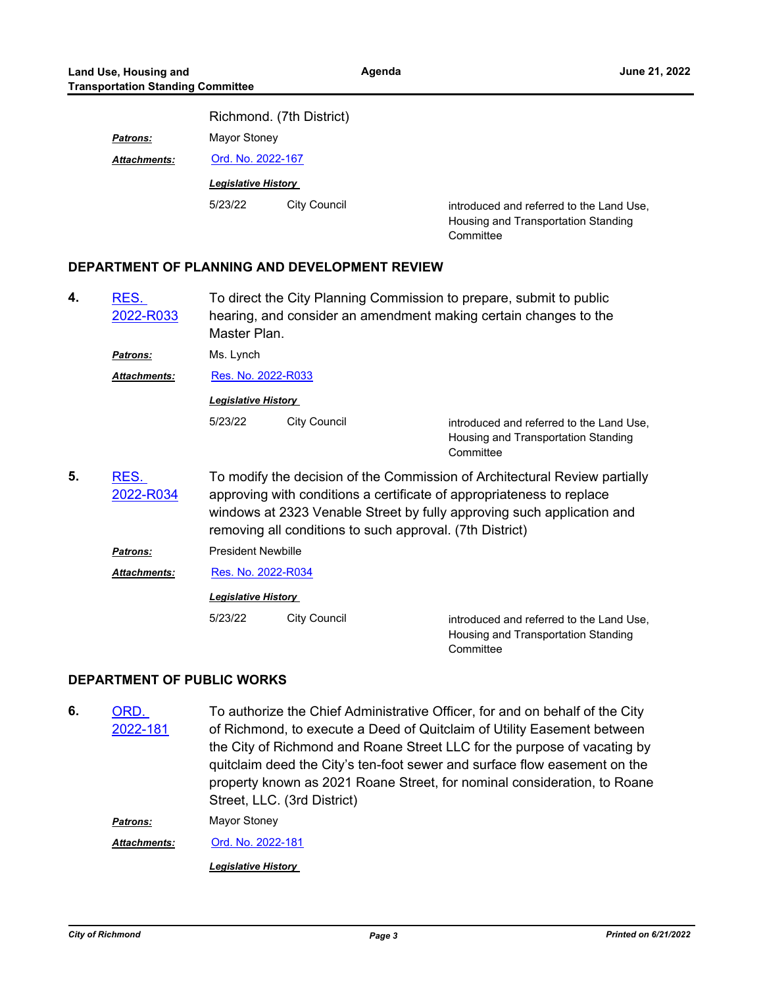|                     | Richmond. (7th District)   |              |                                                                                              |  |
|---------------------|----------------------------|--------------|----------------------------------------------------------------------------------------------|--|
| <b>Patrons:</b>     | Mayor Stoney               |              |                                                                                              |  |
| <b>Attachments:</b> | Ord. No. 2022-167          |              |                                                                                              |  |
|                     | <b>Legislative History</b> |              |                                                                                              |  |
|                     | 5/23/22                    | City Council | introduced and referred to the Land Use,<br>Housing and Transportation Standing<br>Committee |  |

#### **DEPARTMENT OF PLANNING AND DEVELOPMENT REVIEW**

| 4. | RES.<br>2022-R033   | To direct the City Planning Commission to prepare, submit to public<br>hearing, and consider an amendment making certain changes to the<br>Master Plan.                                                                                                                                   |                     |                                                                                              |  |  |
|----|---------------------|-------------------------------------------------------------------------------------------------------------------------------------------------------------------------------------------------------------------------------------------------------------------------------------------|---------------------|----------------------------------------------------------------------------------------------|--|--|
|    | Patrons:            | Ms. Lynch                                                                                                                                                                                                                                                                                 |                     |                                                                                              |  |  |
|    | <b>Attachments:</b> | Res. No. 2022-R033                                                                                                                                                                                                                                                                        |                     |                                                                                              |  |  |
|    |                     | <b>Legislative History</b>                                                                                                                                                                                                                                                                |                     |                                                                                              |  |  |
|    |                     | 5/23/22                                                                                                                                                                                                                                                                                   | <b>City Council</b> | introduced and referred to the Land Use,<br>Housing and Transportation Standing<br>Committee |  |  |
| 5. | RES.<br>2022-R034   | To modify the decision of the Commission of Architectural Review partially<br>approving with conditions a certificate of appropriateness to replace<br>windows at 2323 Venable Street by fully approving such application and<br>removing all conditions to such approval. (7th District) |                     |                                                                                              |  |  |
|    | Patrons:            | <b>President Newbille</b>                                                                                                                                                                                                                                                                 |                     |                                                                                              |  |  |
|    | <b>Attachments:</b> | Res. No. 2022-R034<br><b>Legislative History</b>                                                                                                                                                                                                                                          |                     |                                                                                              |  |  |
|    |                     |                                                                                                                                                                                                                                                                                           |                     |                                                                                              |  |  |
|    |                     | 5/23/22                                                                                                                                                                                                                                                                                   | <b>City Council</b> | introduced and referred to the Land Use,<br>Housing and Transportation Standing<br>Committee |  |  |

#### **DEPARTMENT OF PUBLIC WORKS**

To authorize the Chief Administrative Officer, for and on behalf of the City of Richmond, to execute a Deed of Quitclaim of Utility Easement between the City of Richmond and Roane Street LLC for the purpose of vacating by quitclaim deed the City's ten-foot sewer and surface flow easement on the property known as 2021 Roane Street, for nominal consideration, to Roane Street, LLC. (3rd District) ORD. [2022-181](http://richmondva.legistar.com/gateway.aspx?m=l&id=/matter.aspx?key=32321) **6.** *Patrons:* Mayor Stoney *Attachments:* [Ord. No. 2022-181](http://richmondva.legistar.com/gateway.aspx?M=F&ID=28ee16e5-4531-47af-ad7c-9b63fc73d2f3.pdf) *Legislative History*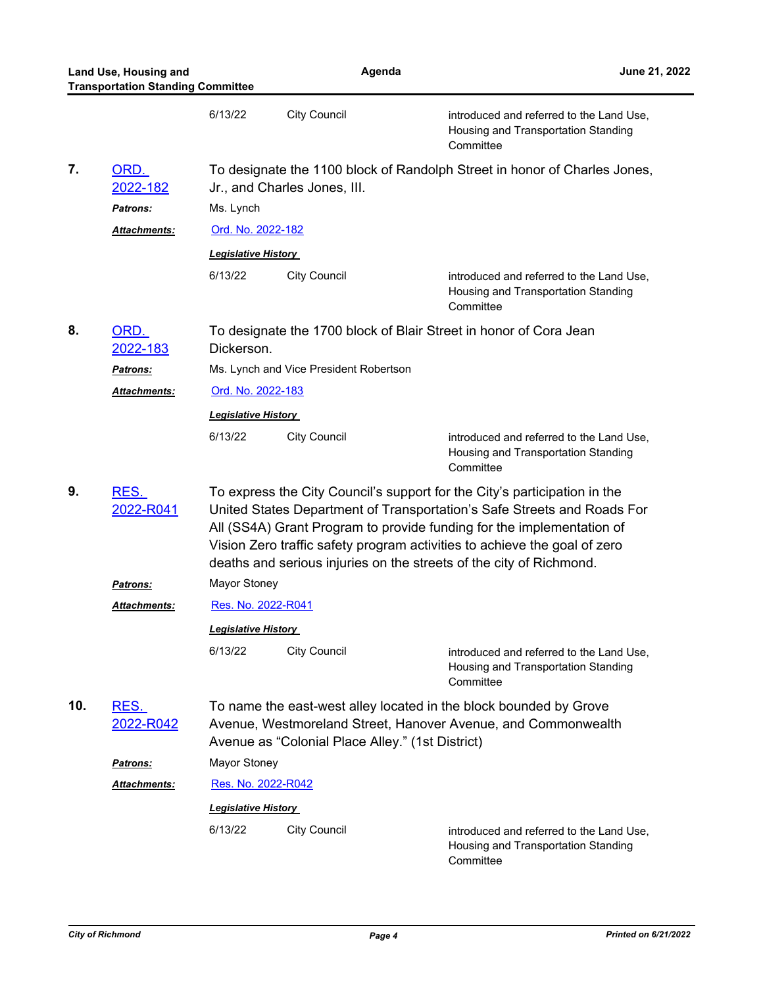**Land Use, Housing and June 21, 2022 Transportation Standing Committee Agenda** 6/13/22 City Council introduced and referred to the Land Use, Housing and Transportation Standing **Committee** To designate the 1100 block of Randolph Street in honor of Charles Jones, Jr., and Charles Jones, III. ORD. [2022-182](http://richmondva.legistar.com/gateway.aspx?m=l&id=/matter.aspx?key=32322) **7.** *Patrons:* Ms. Lynch *Attachments:* [Ord. No. 2022-182](http://richmondva.legistar.com/gateway.aspx?M=F&ID=1c197fda-12ce-4c04-b128-1aed62a71f76.pdf) *Legislative History*  6/13/22 City Council introduced and referred to the Land Use, Housing and Transportation Standing **Committee** To designate the 1700 block of Blair Street in honor of Cora Jean Dickerson. ORD. [2022-183](http://richmondva.legistar.com/gateway.aspx?m=l&id=/matter.aspx?key=32323) **8.** *Patrons:* Ms. Lynch and Vice President Robertson *Attachments:* [Ord. No. 2022-183](http://richmondva.legistar.com/gateway.aspx?M=F&ID=aff9721e-b2c9-447b-a6dd-37ae17ce4cd2.pdf) *Legislative History*  6/13/22 City Council introduced and referred to the Land Use, Housing and Transportation Standing **Committee** To express the City Council's support for the City's participation in the United States Department of Transportation's Safe Streets and Roads For All (SS4A) Grant Program to provide funding for the implementation of Vision Zero traffic safety program activities to achieve the goal of zero deaths and serious injuries on the streets of the city of Richmond. RES. [2022-R041](http://richmondva.legistar.com/gateway.aspx?m=l&id=/matter.aspx?key=32334) **9.** *Patrons:* Mayor Stoney *Attachments:* [Res. No. 2022-R041](http://richmondva.legistar.com/gateway.aspx?M=F&ID=091d48de-c4b3-4c85-b312-7400724311db.pdf) *Legislative History*  6/13/22 City Council introduced and referred to the Land Use, Housing and Transportation Standing **Committee** To name the east-west alley located in the block bounded by Grove Avenue, Westmoreland Street, Hanover Avenue, and Commonwealth Avenue as "Colonial Place Alley." (1st District) RES. [2022-R042](http://richmondva.legistar.com/gateway.aspx?m=l&id=/matter.aspx?key=32335) **10.** *Patrons:* Mayor Stoney *Attachments:* [Res. No. 2022-R042](http://richmondva.legistar.com/gateway.aspx?M=F&ID=2ecde32c-dd60-4a62-9f0e-cf3c1af82b08.pdf) *Legislative History*  6/13/22 City Council introduced and referred to the Land Use, Housing and Transportation Standing **Committee**